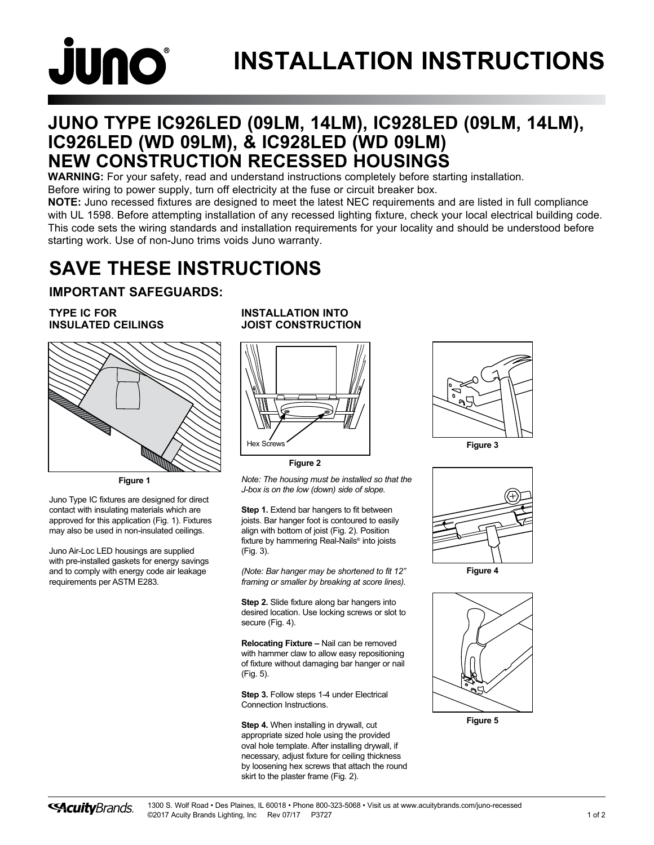# **JUNO**

# **INSTALLATION INSTRUCTIONS**

## **JUNO TYPE IC926LED (09LM, 14LM), IC928LED (09LM, 14LM), IC926LED (WD 09LM), & IC928LED (WD 09LM) NEW CONSTRUCTION RECESSED HOUSINGS**

**WARNING:** For your safety, read and understand instructions completely before starting installation.

Before wiring to power supply, turn off electricity at the fuse or circuit breaker box.

**NOTE:** Juno recessed fixtures are designed to meet the latest NEC requirements and are listed in full compliance with UL 1598. Before attempting installation of any recessed lighting fixture, check your local electrical building code. This code sets the wiring standards and installation requirements for your locality and should be understood before starting work. Use of non-Juno trims voids Juno warranty.

# **SAVE THESE INSTRUCTIONS**

#### **IMPORTANT SAFEGUARDS:**

#### **TYPE IC FOR INSULATED CEILINGS**



**Figure 1**

Juno Type IC fixtures are designed for direct contact with insulating materials which are approved for this application (Fig. 1). Fixtures may also be used in non-insulated ceilings.

Juno Air-Loc LED housings are supplied with pre-installed gaskets for energy savings and to comply with energy code air leakage requirements per ASTM E283.

#### **INSTALLATION INTO JOIST CONSTRUCTION**



**Figure 2**

*Note: The housing must be installed so that the J-box is on the low (down) side of slope.*

**Step 1.** Extend bar hangers to fit between joists. Bar hanger foot is contoured to easily align with bottom of joist (Fig. 2). Position fixture by hammering Real-Nails® into joists (Fig. 3).

*(Note: Bar hanger may be shortened to fit 12" framing or smaller by breaking at score lines).*

**Step 2.** Slide fixture along bar hangers into desired location. Use locking screws or slot to secure (Fig. 4).

**Relocating Fixture –** Nail can be removed with hammer claw to allow easy repositioning of fixture without damaging bar hanger or nail (Fig. 5).

**Step 3.** Follow steps 1-4 under Electrical Connection Instructions.

**Step 4.** When installing in drywall, cut appropriate sized hole using the provided oval hole template. After installing drywall, if necessary, adjust fixture for ceiling thickness by loosening hex screws that attach the round skirt to the plaster frame (Fig. 2).





**Figure 4**



**Figure 5**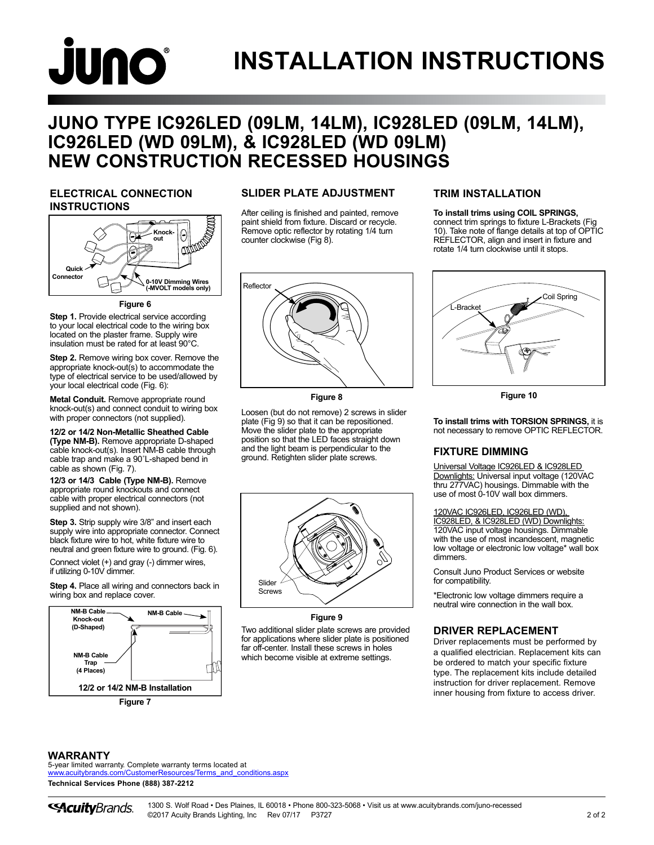# **JUNO INSTALLATION INSTRUCTIONS**

## **JUNO TYPE IC926LED (09LM, 14LM), IC928LED (09LM, 14LM), IC926LED (WD 09LM), & IC928LED (WD 09LM) NEW CONSTRUCTION RECESSED HOUSINGS**

#### **ELECTRICAL CONNECTION INSTRUCTIONS**



**Figure 6**

**Step 1.** Provide electrical service according to your local electrical code to the wiring box located on the plaster frame. Supply wire insulation must be rated for at least 90°C.

**Step 2.** Remove wiring box cover. Remove the appropriate knock-out(s) to accommodate the type of electrical service to be used/allowed by your local electrical code (Fig. 6):

**Metal Conduit.** Remove appropriate round knock-out(s) and connect conduit to wiring box with proper connectors (not supplied).

**12/2 or 14/2 Non-Metallic Sheathed Cable (Type NM-B).** Remove appropriate D-shaped cable knock-out(s). Insert NM-B cable through cable trap and make a 90˚L-shaped bend in cable as shown (Fig. 7).

**12/3 or 14/3 Cable (Type NM-B).** Remove appropriate round knockouts and connect cable with proper electrical connectors (not supplied and not shown).

**Step 3.** Strip supply wire 3/8" and insert each supply wire into appropriate connector. Connect black fixture wire to hot, white fixture wire to neutral and green fixture wire to ground. (Fig. 6).

Connect violet (+) and gray (-) dimmer wires, if utilizing 0-10V dimmer.

**Step 4.** Place all wiring and connectors back in wiring box and replace cover.



#### **SLIDER PLATE ADJUSTMENT**

After ceiling is finished and painted, remove paint shield from fixture. Discard or recycle. Remove optic reflector by rotating 1/4 turn counter clockwise (Fig 8).



**Figure 8**

Loosen (but do not remove) 2 screws in slider plate (Fig 9) so that it can be repositioned. Move the slider plate to the appropriate position so that the LED faces straight down and the light beam is perpendicular to the ground. Retighten slider plate screws.



Two additional slider plate screws are provided for applications where slider plate is positioned far off-center. Install these screws in holes

which become visible at extreme settings.

#### **TRIM INSTALLATION**

#### **To install trims using COIL SPRINGS,**

connect trim springs to fixture L-Brackets (Fig 10). Take note of flange details at top of OPTIC REFLECTOR, align and insert in fixture and rotate 1/4 turn clockwise until it stops.



**Figure 10**

**To install trims with TORSION SPRINGS,** it is not necessary to remove OPTIC REFLECTOR.

#### **FIXTURE DIMMING**

Universal Voltage IC926LED & IC928LED Downlights: Universal input voltage (120VAC thru 277VAC) housings. Dimmable with the use of most 0-10V wall box dimmers.

#### 120VAC IC926LED, IC926LED (WD),

IC928LED, & IC928LED (WD) Downlights: 120VAC input voltage housings. Dimmable with the use of most incandescent, magnetic low voltage or electronic low voltage\* wall box dimmers.

Consult Juno Product Services or website for compatibility.

\*Electronic low voltage dimmers require a neutral wire connection in the wall box.

#### **DRIVER REPLACEMENT**

Driver replacements must be performed by a qualified electrician. Replacement kits can be ordered to match your specific fixture type. The replacement kits include detailed instruction for driver replacement. Remove inner housing from fixture to access driver.

#### **WARRANTY**

5-year limited warranty. Complete warranty terms located at [www.acuitybrands.com/CustomerResources/Terms\\_and\\_conditions.aspx](http://www.acuitybrands.com/CustomerResources/Terms_and_conditions.aspx) **Technical Services Phone (888) 387-2212**

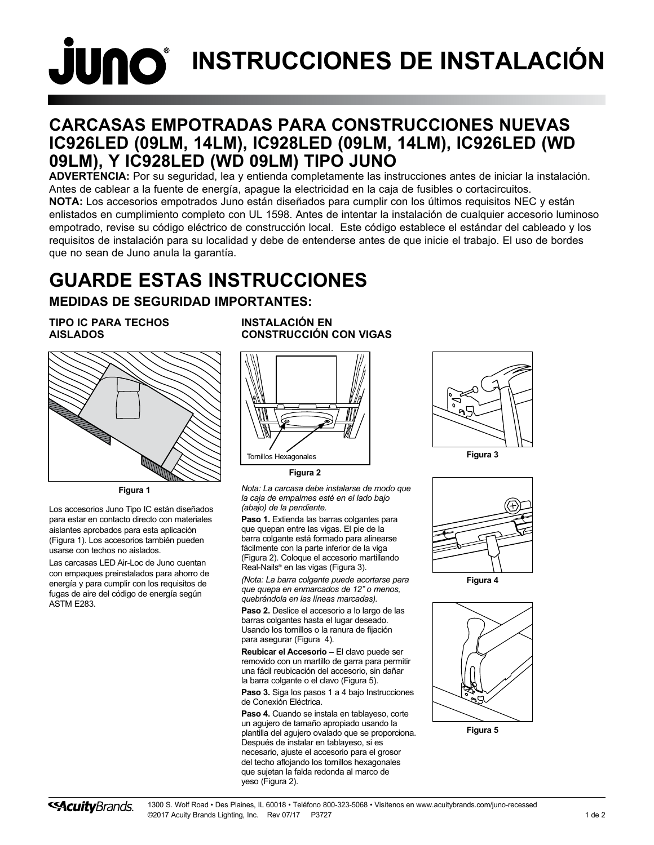# **JUNO**<sup>®</sup> INSTRUCCIONES DE INSTALACIÓN

### **CARCASAS EMPOTRADAS PARA CONSTRUCCIONES NUEVAS IC926LED (09LM, 14LM), IC928LED (09LM, 14LM), IC926LED (WD 09LM), Y IC928LED (WD 09LM) TIPO JUNO**

**ADVERTENCIA:** Por su seguridad, lea y entienda completamente las instrucciones antes de iniciar la instalación. Antes de cablear a la fuente de energía, apague la electricidad en la caja de fusibles o cortacircuitos. **NOTA:** Los accesorios empotrados Juno están diseñados para cumplir con los últimos requisitos NEC y están enlistados en cumplimiento completo con UL 1598. Antes de intentar la instalación de cualquier accesorio luminoso empotrado, revise su código eléctrico de construcción local. Este código establece el estándar del cableado y los requisitos de instalación para su localidad y debe de entenderse antes de que inicie el trabajo. El uso de bordes que no sean de Juno anula la garantía.

# **GUARDE ESTAS INSTRUCCIONES**

#### **MEDIDAS DE SEGURIDAD IMPORTANTES:**

#### **TIPO IC PARA TECHOS AISLADOS**



**Figura 1**

Los accesorios Juno Tipo IC están diseñados para estar en contacto directo con materiales aislantes aprobados para esta aplicación (Figura 1). Los accesorios también pueden usarse con techos no aislados.

Las carcasas LED Air-Loc de Juno cuentan con empaques preinstalados para ahorro de energía y para cumplir con los requisitos de fugas de aire del código de energía según ASTM E283.

**INSTALACIÓN EN CONSTRUCCIÓN CON VIGAS**



**Figura 2**

*Nota: La carcasa debe instalarse de modo que la caja de empalmes esté en el lado bajo (abajo) de la pendiente.* 

**Paso 1.** Extienda las barras colgantes para que quepan entre las vigas. El pie de la barra colgante está formado para alinearse fácilmente con la parte inferior de la viga (Figura 2). Coloque el accesorio martillando Real-Nails® en las vigas (Figura 3).

*(Nota: La barra colgante puede acortarse para que quepa en enmarcados de 12" o menos, quebrándola en las líneas marcadas).*

**Paso 2.** Deslice el accesorio a lo largo de las barras colgantes hasta el lugar deseado. Usando los tornillos o la ranura de fijación para asegurar (Figura 4).

**Reubicar el Accesorio –** El clavo puede ser removido con un martillo de garra para permitir una fácil reubicación del accesorio, sin dañar la barra colgante o el clavo (Figura 5).

Paso 3. Siga los pasos 1 a 4 bajo Instrucciones de Conexión Eléctrica.

**Paso 4.** Cuando se instala en tablayeso, corte un agujero de tamaño apropiado usando la plantilla del agujero ovalado que se proporciona. Después de instalar en tablayeso, si es necesario, ajuste el accesorio para el grosor del techo aflojando los tornillos hexagonales que sujetan la falda redonda al marco de yeso (Figura 2).





**Figura 4**



**Figura 5**